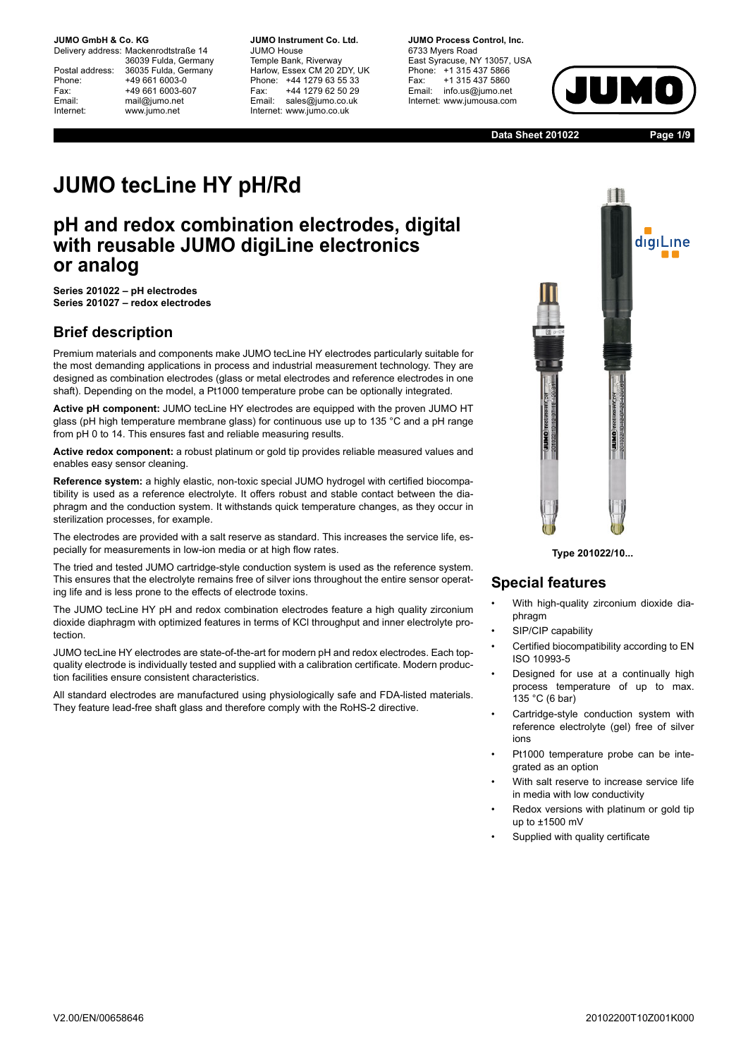Delivery address: Mackenrodtstraße 14 36039 Fulda, Germany Postal address: 36035 Fulda, Germany Phone: +49 661 6003-0 Fax: +49 661 6003-607 Email: mail@jumo.net Internet: www.jumo.net

**JUMO Instrument Co. Ltd.** JUMO House Temple Bank, Riverway Harlow, Essex CM 20 2DY, UK Phone: +44 1279 63 55 33 Fax: +44 1279 62 50 29 Email: sales@jumo.co.uk Internet: www.jumo.co.uk

**JUMO Process Control, Inc.** 6733 Myers Road East Syracuse, NY 13057, USA Phone: +1 315 437 5866 Fax: +1 315 437 5860 Email: info.us@jumo.net Internet: www.jumousa.com



**Data Sheet 201022 Page 1/9**

# **JUMO tecLine HY pH/Rd**

# **pH and redox combination electrodes, digital with reusable JUMO digiLine electronics or analog**

**Series 201022 – pH electrodes Series 201027 – redox electrodes**

## **Brief description**

Premium materials and components make JUMO tecLine HY electrodes particularly suitable for the most demanding applications in process and industrial measurement technology. They are designed as combination electrodes (glass or metal electrodes and reference electrodes in one shaft). Depending on the model, a Pt1000 temperature probe can be optionally integrated.

**Active pH component:** JUMO tecLine HY electrodes are equipped with the proven JUMO HT glass (pH high temperature membrane glass) for continuous use up to 135 °C and a pH range from pH 0 to 14. This ensures fast and reliable measuring results.

**Active redox component:** a robust platinum or gold tip provides reliable measured values and enables easy sensor cleaning.

**Reference system:** a highly elastic, non-toxic special JUMO hydrogel with certified biocompatibility is used as a reference electrolyte. It offers robust and stable contact between the diaphragm and the conduction system. It withstands quick temperature changes, as they occur in sterilization processes, for example.

The electrodes are provided with a salt reserve as standard. This increases the service life, especially for measurements in low-ion media or at high flow rates.

The tried and tested JUMO cartridge-style conduction system is used as the reference system. This ensures that the electrolyte remains free of silver ions throughout the entire sensor operating life and is less prone to the effects of electrode toxins.

The JUMO tecLine HY pH and redox combination electrodes feature a high quality zirconium dioxide diaphragm with optimized features in terms of KCl throughput and inner electrolyte protection.

JUMO tecLine HY electrodes are state-of-the-art for modern pH and redox electrodes. Each topquality electrode is individually tested and supplied with a calibration certificate. Modern production facilities ensure consistent characteristics.

All standard electrodes are manufactured using physiologically safe and FDA-listed materials. They feature lead-free shaft glass and therefore comply with the RoHS-2 directive.



**Type 201022/10...**

## **Special features**

- With high-quality zirconium dioxide diaphragm
- SIP/CIP capability
- Certified biocompatibility according to EN ISO 10993-5
- Designed for use at a continually high process temperature of up to max. 135 °C (6 bar)
- Cartridge-style conduction system with reference electrolyte (gel) free of silver ions
- Pt1000 temperature probe can be integrated as an option
- With salt reserve to increase service life in media with low conductivity
- Redox versions with platinum or gold tip up to ±1500 mV
- Supplied with quality certificate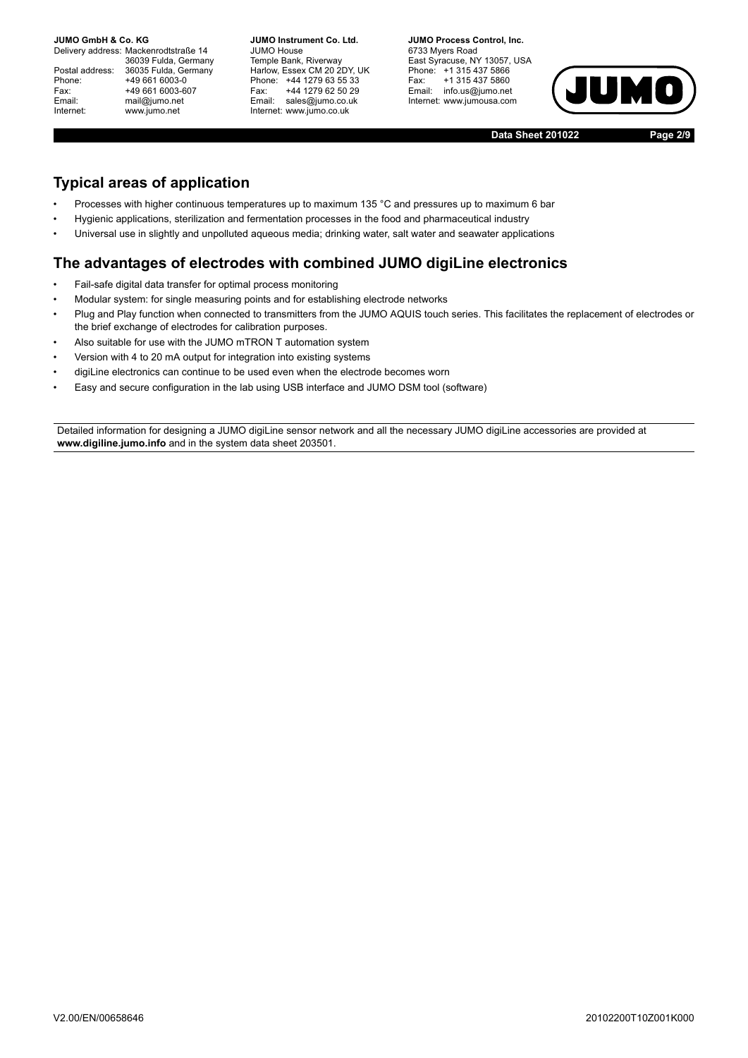Delivery address: Mackenrodtstraße 14 36039 Fulda, Germany Postal address: 36035 Fulda, Germany Phone: +49 661 6003-0 Fax: +49 661 6003-607 Email: mail@jumo.net Internet: www.jumo.net

**JUMO Instrument Co. Ltd.** JUMO House Temple Bank, Riverway Harlow, Essex CM 20 2DY, UK Phone: +44 1279 63 55 33 Fax: +44 1279 62 50 29 Email: sales@jumo.co.uk Internet: www.jumo.co.uk

**JUMO Process Control, Inc.** 6733 Myers Road East Syracuse, NY 13057, USA Phone: +1 315 437 5866 Fax: +1 315 437 5860 Email: info.us@jumo.net Internet: www.jumousa.com



**Data Sheet 201022 Page 2/9**

## **Typical areas of application**

- Processes with higher continuous temperatures up to maximum 135 °C and pressures up to maximum 6 bar
- Hygienic applications, sterilization and fermentation processes in the food and pharmaceutical industry
- Universal use in slightly and unpolluted aqueous media; drinking water, salt water and seawater applications

### **The advantages of electrodes with combined JUMO digiLine electronics**

- Fail-safe digital data transfer for optimal process monitoring
- Modular system: for single measuring points and for establishing electrode networks
- Plug and Play function when connected to transmitters from the JUMO AQUIS touch series. This facilitates the replacement of electrodes or the brief exchange of electrodes for calibration purposes.
- Also suitable for use with the JUMO mTRON T automation system
- Version with 4 to 20 mA output for integration into existing systems
- digiLine electronics can continue to be used even when the electrode becomes worn
- Easy and secure configuration in the lab using USB interface and JUMO DSM tool (software)

Detailed information for designing a JUMO digiLine sensor network and all the necessary JUMO digiLine accessories are provided at **www.digiline.jumo.info** and in the system data sheet 203501.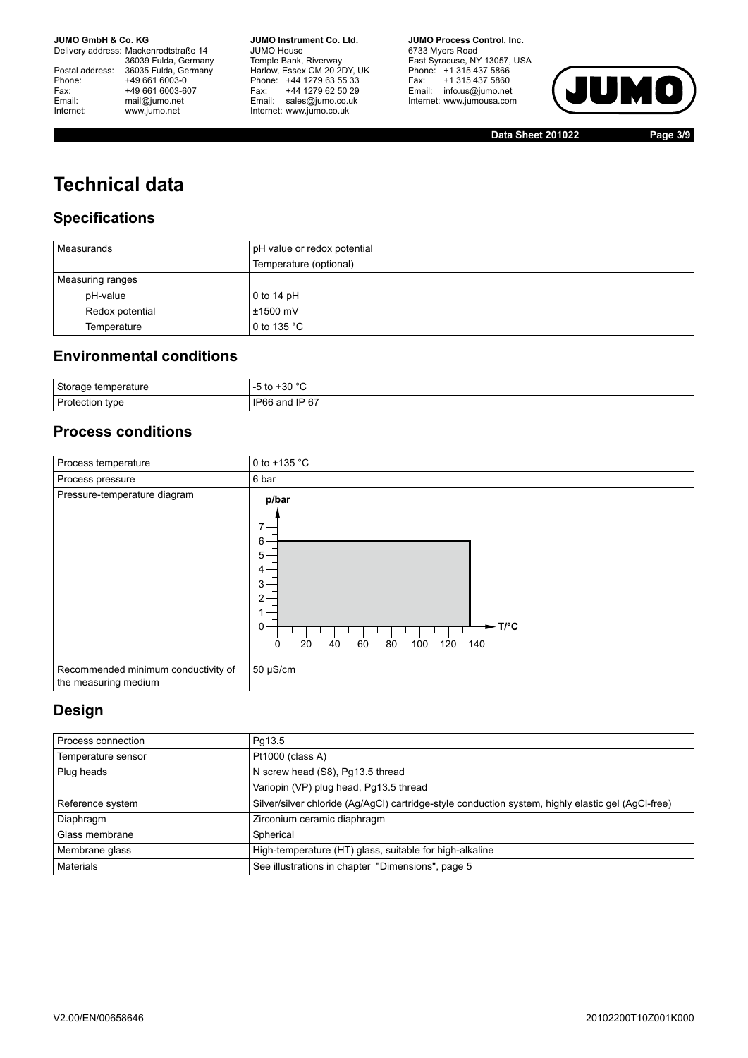Delivery address: Mackenrodtstraße 14 36039 Fulda, Germany Postal address: 36035 Fulda, Germany Postal address: 36035 Fulda, Ge<br>
Phone: +49 661 6003-0<br>
Fax: +49 661 6003-6<br>
Email: mail@jumo.net +49 661 6003-607 mail@jumo.net Internet: www.jumo.net

**JUMO Instrument Co. Ltd.** JUMO House Temple Bank, Riverway Harlow, Essex CM 20 2DY, UK Phone: +44 1279 63 55 33 Fax: +44 1279 62 50 29 Email: sales@jumo.co.uk Internet: www.jumo.co.uk

**JUMO Process Control, Inc.** 6733 Myers Road East Syracuse, NY 13057, USA Phone: +1 315 437 5866 Fax: +1 315 437 5860 Email: info.us@jumo.net Internet: www.jumousa.com



**Data Sheet 201022 Page 3/9**

# **Technical data**

## **Specifications**

| Measurands       | pH value or redox potential |
|------------------|-----------------------------|
|                  | Temperature (optional)      |
| Measuring ranges |                             |
| pH-value         | 0 to 14 $pH$                |
| Redox potential  | $±1500$ mV                  |
| Temperature      | 0 to 135 $^{\circ}$ C       |

## **Environmental conditions**

| Storage temperature | $\Omega$<br>-30<br>w        |
|---------------------|-----------------------------|
| Protection type     | IP 67<br><b>IP66</b><br>and |

### **Process conditions**



### **Design**

| Process connection | Pg13.5                                                                                             |
|--------------------|----------------------------------------------------------------------------------------------------|
| Temperature sensor | Pt1000 (class A)                                                                                   |
| Plug heads         | N screw head (S8), Pg13.5 thread                                                                   |
|                    | Variopin (VP) plug head, Pg13.5 thread                                                             |
| Reference system   | Silver/silver chloride (Ag/AgCl) cartridge-style conduction system, highly elastic gel (AgCl-free) |
| Diaphragm          | Zirconium ceramic diaphragm                                                                        |
| Glass membrane     | Spherical                                                                                          |
| Membrane glass     | High-temperature (HT) glass, suitable for high-alkaline                                            |
| <b>Materials</b>   | See illustrations in chapter "Dimensions", page 5                                                  |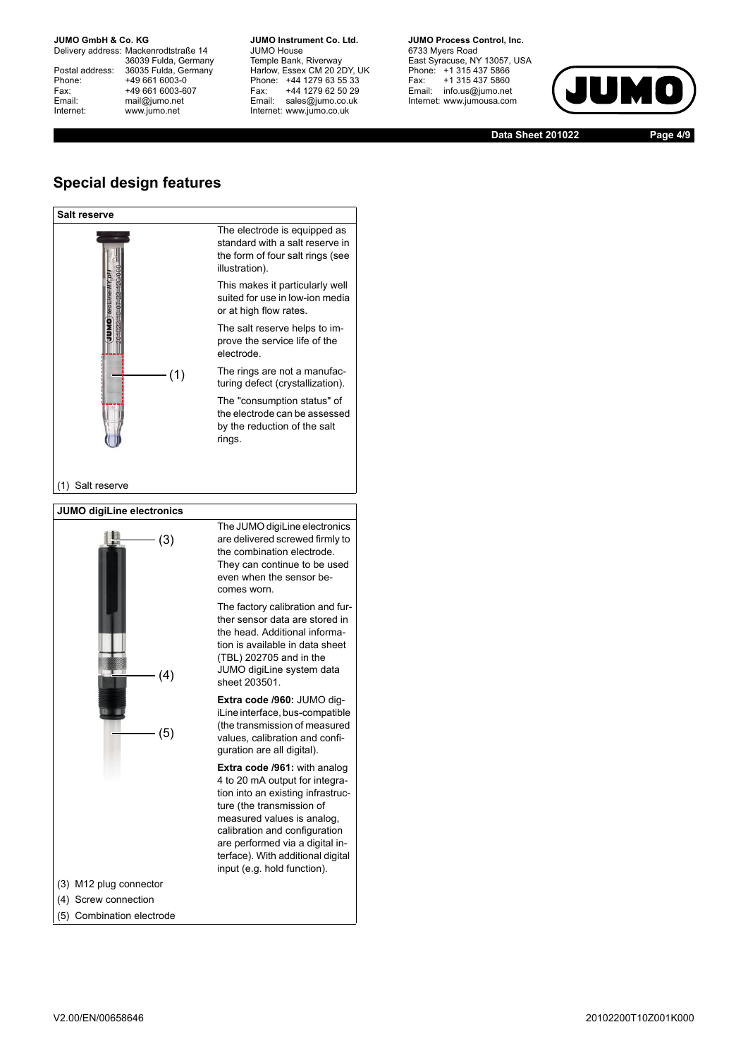Delivery address: Mackenrodtstraße 14 36039 Fulda, Germany Postal address: 36035 Fulda, Germany Phone: +49 661 6003-0 Fax: +49 661 6003-607<br>Email: +49 661 6003-607 mail@jumo.net Internet: www.jumo.net

**JUMO Instrument Co. Ltd.** JUMO House Temple Bank, Riverway Harlow, Essex CM 20 2DY, UK Phone: +44 1279 63 55 33 Fax: +44 1279 62 50 29 Email: sales@jumo.co.uk Internet: www.jumo.co.uk

**JUMO Process Control, Inc.** 6733 Myers Road East Syracuse, NY 13057, USA Phone: +1 315 437 5866 Fax: +1 315 437 5860 Email: info.us@jumo.net Internet: www.jumousa.com



**Data Sheet 201022 Page 4/9**

#### **Special design features**





V2.00/EN/00658646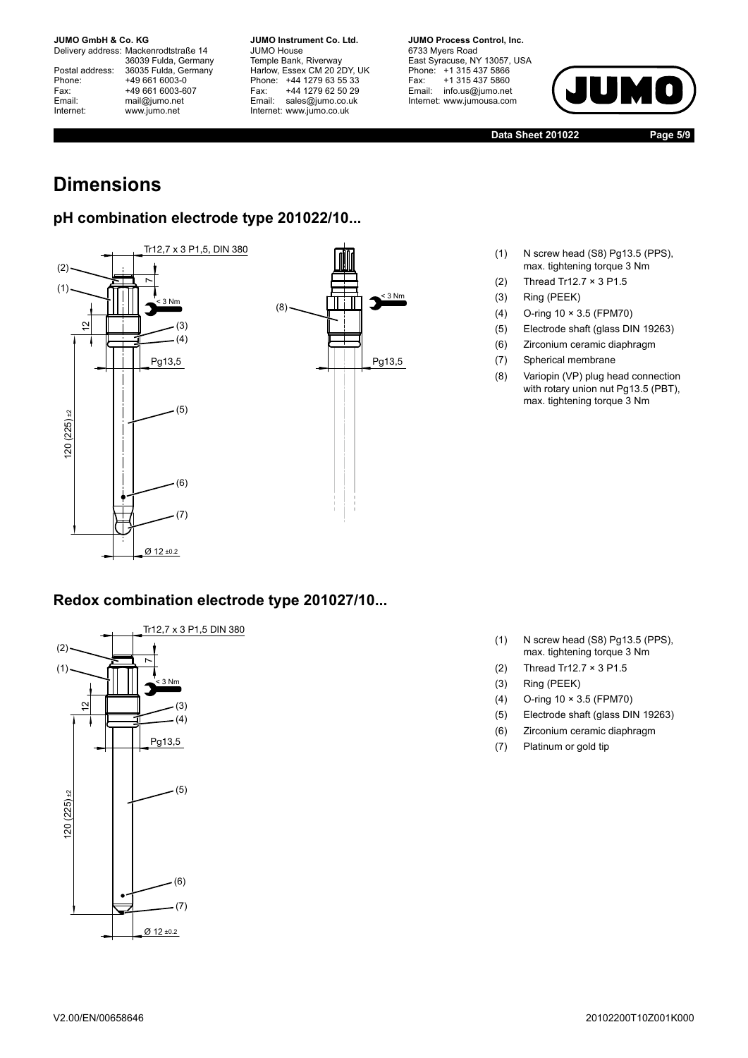Delivery address: Mackenrodtstraße 14 36039 Fulda, Germany Postal address: 36035 Fulda, Germany Phone: +49 661 6003-0 Fax: +49 661 6003-607 Email: mail@jumo.net Internet: www.jumo.net

**JUMO Instrument Co. Ltd.** JUMO House Temple Bank, Riverway Harlow, Essex CM 20 2DY, UK Phone: +44 1279 63 55 33 Fax: +44 1279 62 50 29 Email: sales@jumo.co.uk Internet: www.jumo.co.uk

**JUMO Process Control, Inc.** 6733 Myers Road East Syracuse, NY 13057, USA Phone: +1 315 437 5866 Fax: +1 315 437 5860 Email: info.us@jumo.net Internet: www.jumousa.com



**Data Sheet 201022 Page 5/9**

# <span id="page-4-0"></span>**Dimensions**

## **pH combination electrode type 201022/10...**



## **Redox combination electrode type 201027/10...**



- (1) N screw head (S8) Pg13.5 (PPS),
- max. tightening torque 3 Nm
- (2) Thread Tr12.7 × 3 P1.5
- (3) Ring (PEEK)
- (4) O-ring 10 × 3.5 (FPM70)
- (5) Electrode shaft (glass DIN 19263)
- (6) Zirconium ceramic diaphragm
- (7) Spherical membrane
- (8) Variopin (VP) plug head connection with rotary union nut Pg13.5 (PBT), max. tightening torque 3 Nm

- (1) N screw head (S8) Pg13.5 (PPS), max. tightening torque 3 Nm
- (2) Thread Tr12.7 × 3 P1.5
- (3) Ring (PEEK)
- (4) O-ring 10 × 3.5 (FPM70)
- (5) Electrode shaft (glass DIN 19263)
- (6) Zirconium ceramic diaphragm
- (7) Platinum or gold tip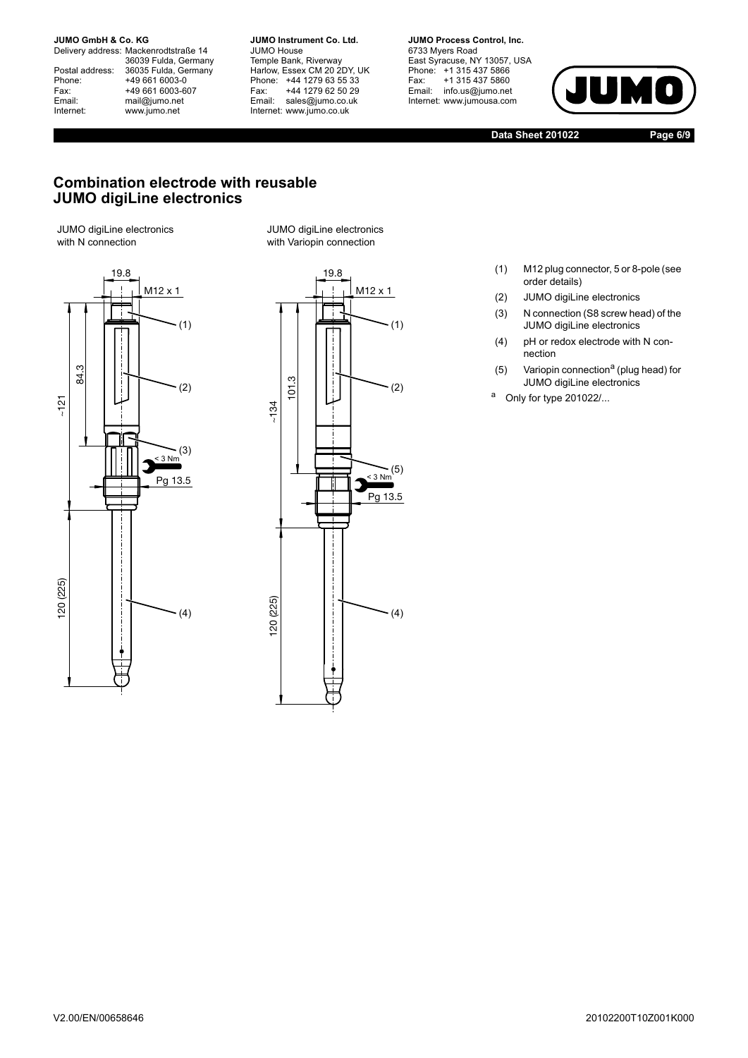Delivery address: Mackenrodtstraße 14 36039 Fulda, Germany Postal address: 36035 Fulda, Germany Postal address: 36035 Fulda, Ge<br>
Phone: +49 661 6003-0<br>
Fax: +49 661 6003-6<br>
Email: mail@jumo.net +49 661 6003-607 mail@jumo.net Internet: www.jumo.net

**JUMO Instrument Co. Ltd.** JUMO House Temple Bank, Riverway Harlow, Essex CM 20 2DY, UK Phone: +44 1279 63 55 33 Fax: +44 1279 62 50 29 Email: sales@jumo.co.uk Internet: www.jumo.co.uk

**JUMO Process Control, Inc.** 6733 Myers Road East Syracuse, NY 13057, USA Phone: +1 315 437 5866 Fax: +1 315 437 5860 Email: info.us@jumo.net Internet: www.jumousa.com



**Data Sheet 201022 Page 6/9**

#### **Combination electrode with reusable JUMO digiLine electronics**

JUMO digiLine electronics with N connection



JUMO digiLine electronics with Variopin connection



- (1) M12 plug connector, 5 or 8-pole (see order details)
- (2) JUMO digiLine electronics
- (3) N connection (S8 screw head) of the JUMO digiLine electronics
- (4) pH or redox electrode with N connection
- (5) Variopin connection<sup>a</sup> (plug head) for JUMO digiLine electronics
- a Only for type  $201022/...$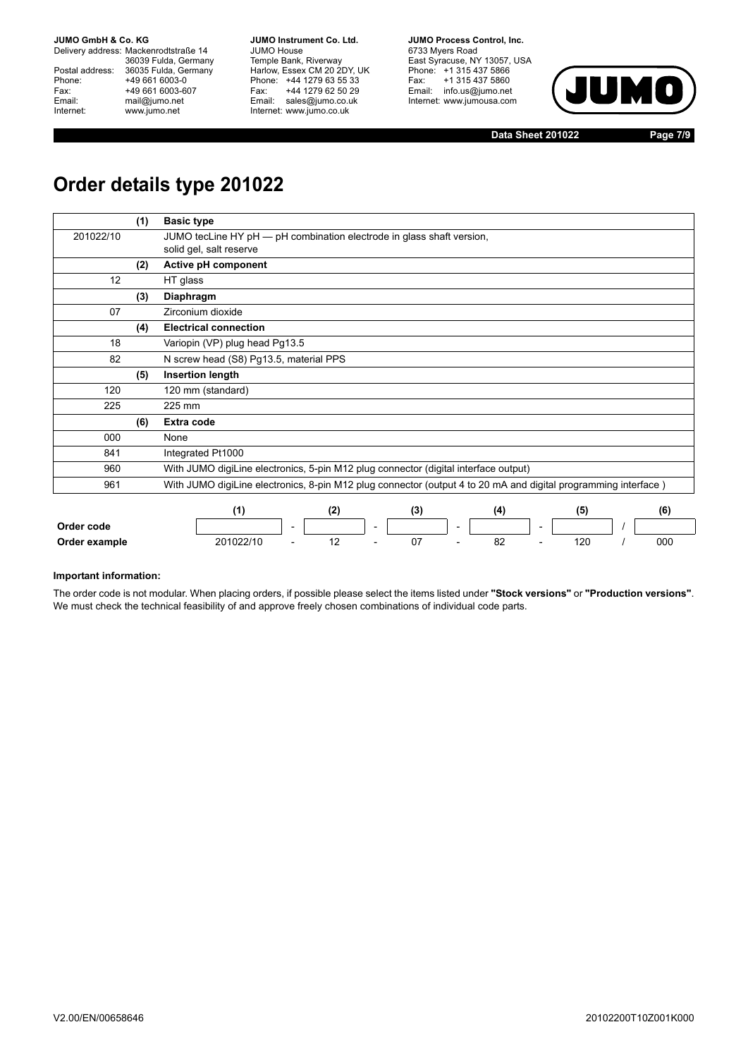Delivery address: Mackenrodtstraße 14 36039 Fulda, Germany Postal address: 36035 Fulda, Germany Phone: +49 661 6003-0<br>
Fax: +49 661 6003-6<br>
Email: mail@jumo.net +49 661 6003-607 mail@jumo.net Internet: www.jumo.net

**JUMO Instrument Co. Ltd.** JUMO House Temple Bank, Riverway Harlow, Essex CM 20 2DY, UK Phone: +44 1279 63 55 33 Fax: +44 1279 62 50 29 Email: sales@jumo.co.uk Internet: www.jumo.co.uk

**JUMO Process Control, Inc.** 6733 Myers Road East Syracuse, NY 13057, USA Phone: +1 315 437 5866 Fax: +1 315 437 5860 Email: info.us@jumo.net Internet: www.jumousa.com



**Data Sheet 201022 Page 7/9**

# **Order details type 201022**

|           | (1) | <b>Basic type</b>                                                                                              |     |     |     |     |     |
|-----------|-----|----------------------------------------------------------------------------------------------------------------|-----|-----|-----|-----|-----|
| 201022/10 |     | JUMO tecLine HY pH - pH combination electrode in glass shaft version,                                          |     |     |     |     |     |
|           |     | solid gel, salt reserve                                                                                        |     |     |     |     |     |
|           | (2) | Active pH component                                                                                            |     |     |     |     |     |
| 12        |     | HT glass                                                                                                       |     |     |     |     |     |
|           | (3) | Diaphragm                                                                                                      |     |     |     |     |     |
| 07        |     | Zirconium dioxide                                                                                              |     |     |     |     |     |
|           | (4) | <b>Electrical connection</b>                                                                                   |     |     |     |     |     |
| 18        |     | Variopin (VP) plug head Pg13.5                                                                                 |     |     |     |     |     |
| 82        |     | N screw head (S8) Pg13.5, material PPS                                                                         |     |     |     |     |     |
|           | (5) | <b>Insertion length</b>                                                                                        |     |     |     |     |     |
| 120       |     | 120 mm (standard)                                                                                              |     |     |     |     |     |
| 225       |     | 225 mm                                                                                                         |     |     |     |     |     |
|           | (6) | Extra code                                                                                                     |     |     |     |     |     |
| 000       |     | None                                                                                                           |     |     |     |     |     |
| 841       |     | Integrated Pt1000                                                                                              |     |     |     |     |     |
| 960       |     | With JUMO digiLine electronics, 5-pin M12 plug connector (digital interface output)                            |     |     |     |     |     |
| 961       |     | With JUMO digiLine electronics, 8-pin M12 plug connector (output 4 to 20 mA and digital programming interface) |     |     |     |     |     |
|           |     | (1)                                                                                                            | (2) | (3) | (4) | (5) | (6) |

|               |                        |  |   | .            |   |    |   |              | .   |
|---------------|------------------------|--|---|--------------|---|----|---|--------------|-----|
| Order code    |                        |  | - |              | - |    | - |              |     |
| Order example | <b>201022/10</b><br>__ |  |   | ∩¬<br>J,<br> |   | υZ |   | חר ו<br>$-0$ | 000 |

#### **Important information:**

The order code is not modular. When placing orders, if possible please select the items listed under **"Stock versions"** or **"Production versions"**. We must check the technical feasibility of and approve freely chosen combinations of individual code parts.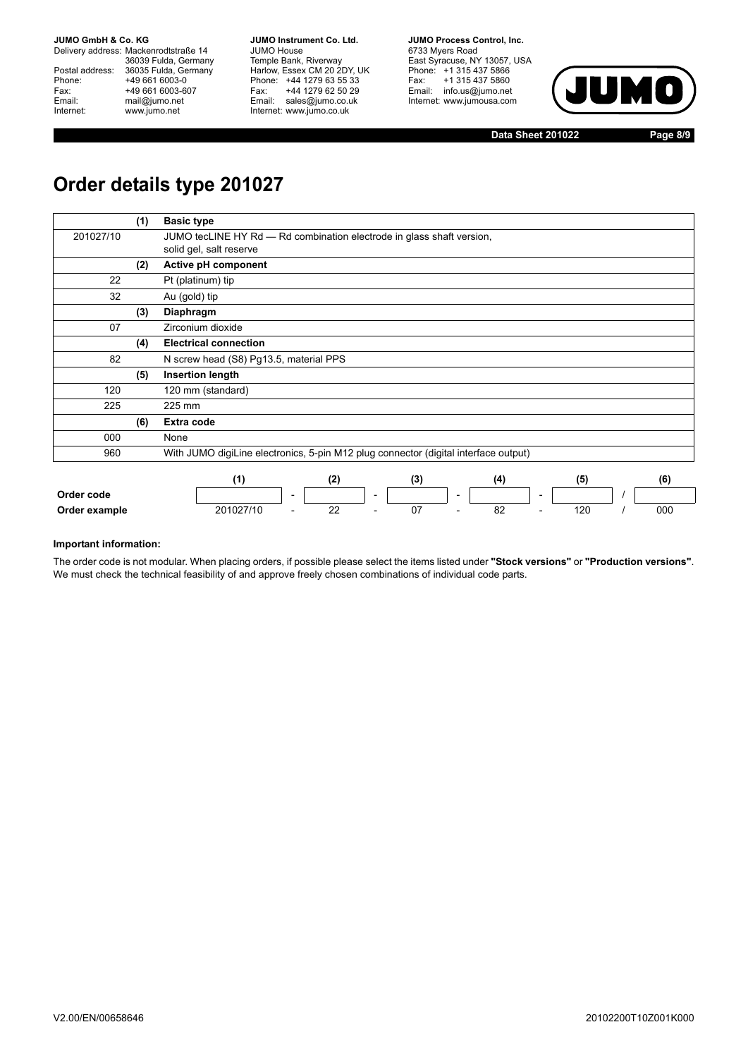Delivery address: Mackenrodtstraße 14 36039 Fulda, Germany Postal address: 36035 Fulda, Germany Postal address: 36035 Fulda, Ge<br>
Phone: +49 661 6003-0<br>
Fax: +49 661 6003-6<br>
Email: mail@jumo.net +49 661 6003-607 mail@jumo.net Internet: www.jumo.net

**JUMO Instrument Co. Ltd.** JUMO House Temple Bank, Riverway Harlow, Essex CM 20 2DY, UK Phone: +44 1279 63 55 33 Fax: +44 1279 62 50 29 Email: sales@jumo.co.uk Internet: www.jumo.co.uk

**JUMO Process Control, Inc.** 6733 Myers Road East Syracuse, NY 13057, USA Phone: +1 315 437 5866 Fax: +1 315 437 5860 Email: info.us@jumo.net Internet: www.jumousa.com



**Data Sheet 201022 Page 8/9**

# **Order details type 201027**

|               | (1) | <b>Basic type</b>                                                                                  |
|---------------|-----|----------------------------------------------------------------------------------------------------|
| 201027/10     |     | JUMO tecLINE HY Rd - Rd combination electrode in glass shaft version,                              |
|               |     | solid gel, salt reserve                                                                            |
|               | (2) | Active pH component                                                                                |
| 22            |     | Pt (platinum) tip                                                                                  |
| 32            |     | Au (gold) tip                                                                                      |
|               | (3) | Diaphragm                                                                                          |
| 07            |     | Zirconium dioxide                                                                                  |
|               | (4) | <b>Electrical connection</b>                                                                       |
| 82            |     | N screw head (S8) Pg13.5, material PPS                                                             |
|               | (5) | <b>Insertion length</b>                                                                            |
| 120           |     | 120 mm (standard)                                                                                  |
| 225           |     | 225 mm                                                                                             |
|               | (6) | Extra code                                                                                         |
| 000           |     | None                                                                                               |
| 960           |     | With JUMO digiLine electronics, 5-pin M12 plug connector (digital interface output)                |
|               |     |                                                                                                    |
|               |     | (1)<br>(2)<br>(3)<br>(4)<br>(5)<br>(6)                                                             |
| Order code    |     | $\overline{\phantom{a}}$<br>$\overline{\phantom{a}}$<br>$\overline{\phantom{a}}$<br>$\blacksquare$ |
| Order example |     | 22<br>07<br>82<br>120<br>000<br>201027/10                                                          |

#### **Important information:**

The order code is not modular. When placing orders, if possible please select the items listed under **"Stock versions"** or **"Production versions"**. We must check the technical feasibility of and approve freely chosen combinations of individual code parts.